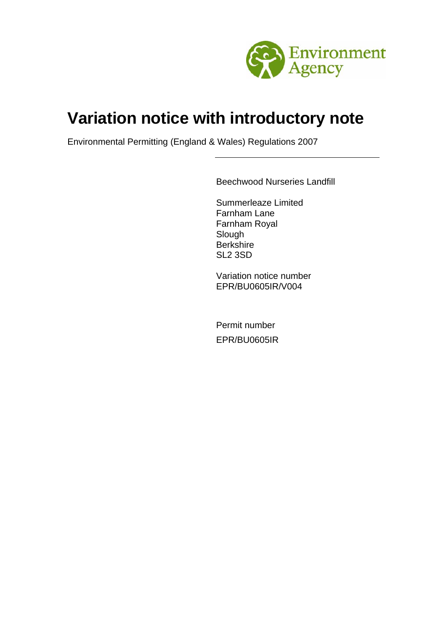

# **Variation notice with introductory note**

Environmental Permitting (England & Wales) Regulations 2007

Beechwood Nurseries Landfill

Summerleaze Limited Farnham Lane Farnham Royal Slough **Berkshire** SL2 3SD

Variation notice number EPR/BU0605IR/V004

Permit number EPR/BU0605IR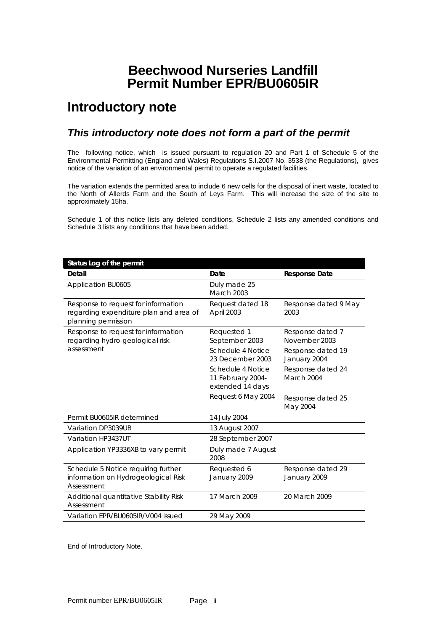# **Beechwood Nurseries Landfill Permit Number EPR/BU0605IR**

# **Introductory note**

### *This introductory note does not form a part of the permit*

The following notice, which is issued pursuant to regulation 20 and Part 1 of Schedule 5 of the Environmental Permitting (England and Wales) Regulations S.I.2007 No. 3538 (the Regulations), gives notice of the variation of an environmental permit to operate a regulated facilities.

The variation extends the permitted area to include 6 new cells for the disposal of inert waste, located to the North of Allerds Farm and the South of Leys Farm. This will increase the size of the site to approximately 15ha.

Schedule 1 of this notice lists any deleted conditions, Schedule 2 lists any amended conditions and Schedule 3 lists any conditions that have been added.

| Status Log of the permit                                                                             |                                                            |                                                        |
|------------------------------------------------------------------------------------------------------|------------------------------------------------------------|--------------------------------------------------------|
| Detail                                                                                               | Date                                                       | <b>Response Date</b>                                   |
| Application BU0605                                                                                   | Duly made 25<br>March 2003                                 |                                                        |
| Response to request for information<br>regarding expenditure plan and area of<br>planning permission | Request dated 18<br>April 2003                             | Response dated 9 May<br>2003                           |
| Response to request for information<br>regarding hydro-geological risk<br>assessment                 | Requested 1<br>September 2003<br>Schedule 4 Notice         | Response dated 7<br>November 2003<br>Response dated 19 |
|                                                                                                      | 23 December 2003                                           | January 2004                                           |
|                                                                                                      | Schedule 4 Notice<br>11 February 2004-<br>extended 14 days | Response dated 24<br>March 2004                        |
|                                                                                                      | Request 6 May 2004                                         | Response dated 25<br>May 2004                          |
| Permit BU0605IR determined                                                                           | 14 July 2004                                               |                                                        |
| Variation DP3039UB                                                                                   | 13 August 2007                                             |                                                        |
| Variation HP3437UT                                                                                   | 28 September 2007                                          |                                                        |
| Application YP3336XB to vary permit                                                                  | Duly made 7 August<br>2008                                 |                                                        |
| Schedule 5 Notice requiring further<br>information on Hydrogeological Risk<br>Assessment             | Requested 6<br>January 2009                                | Response dated 29<br>January 2009                      |
| Additional quantitative Stability Risk<br>Assessment                                                 | 17 March 2009                                              | 20 March 2009                                          |
| Variation EPR/BU0605IR/V004 issued                                                                   | 29 May 2009                                                |                                                        |

End of Introductory Note.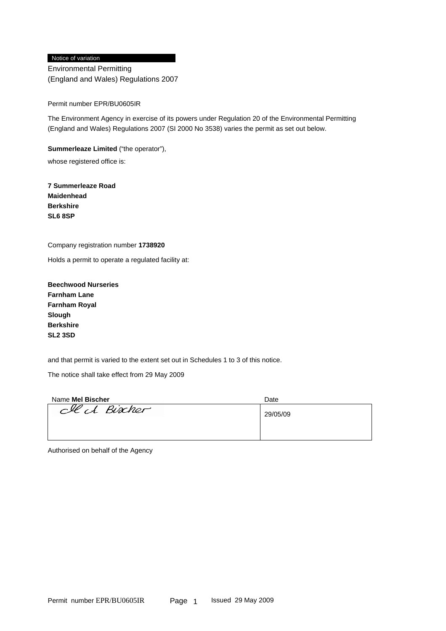#### Notice of variation

Environmental Permitting (England and Wales) Regulations 2007

#### Permit number EPR/BU0605IR

The Environment Agency in exercise of its powers under Regulation 20 of the Environmental Permitting (England and Wales) Regulations 2007 (SI 2000 No 3538) varies the permit as set out below.

**Summerleaze Limited** ("the operator"),

whose registered office is:

**7 Summerleaze Road Maidenhead Berkshire SL6 8SP** 

Company registration number **1738920** 

Holds a permit to operate a regulated facility at:

**Beechwood Nurseries Farnham Lane Farnham Royal Slough Berkshire SL2 3SD** 

and that permit is varied to the extent set out in Schedules 1 to 3 of this notice.

The notice shall take effect from 29 May 2009

| Name Mel Bischer | Date     |
|------------------|----------|
| clect Biocher    | 29/05/09 |
|                  |          |

Authorised on behalf of the Agency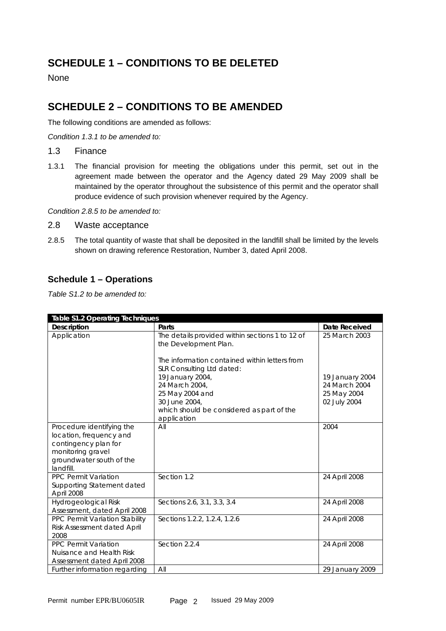# **SCHEDULE 1 – CONDITIONS TO BE DELETED**

None

## **SCHEDULE 2 – CONDITIONS TO BE AMENDED**

The following conditions are amended as follows:

*Condition 1.3.1 to be amended to:* 

1.3 Finance

1.3.1 The financial provision for meeting the obligations under this permit, set out in the agreement made between the operator and the Agency dated 29 May 2009 shall be maintained by the operator throughout the subsistence of this permit and the operator shall produce evidence of such provision whenever required by the Agency.

*Condition 2.8.5 to be amended to:* 

- 2.8 Waste acceptance
- 2.8.5 The total quantity of waste that shall be deposited in the landfill shall be limited by the levels shown on drawing reference Restoration, Number 3, dated April 2008.

#### **Schedule 1 – Operations**

*Table S1.2 to be amended to:* 

| <b>Table S1.2 Operating Techniques</b>                                                                                                     |                                                                                                                                                                                                                                                                                              |                                                                                  |  |  |
|--------------------------------------------------------------------------------------------------------------------------------------------|----------------------------------------------------------------------------------------------------------------------------------------------------------------------------------------------------------------------------------------------------------------------------------------------|----------------------------------------------------------------------------------|--|--|
| <b>Description</b>                                                                                                                         | Parts                                                                                                                                                                                                                                                                                        | Date Received                                                                    |  |  |
| Application                                                                                                                                | The details provided within sections 1 to 12 of<br>the Development Plan.<br>The information contained within letters from<br>SLR Consulting Ltd dated:<br>19 January 2004,<br>24 March 2004,<br>25 May 2004 and<br>30 June 2004,<br>which should be considered as part of the<br>application | 25 March 2003<br>19 January 2004<br>24 March 2004<br>25 May 2004<br>02 July 2004 |  |  |
| Procedure identifying the<br>location, frequency and<br>contingency plan for<br>monitoring gravel<br>groundwater south of the<br>landfill. | All                                                                                                                                                                                                                                                                                          | 2004                                                                             |  |  |
| <b>PPC Permit Variation</b><br>Supporting Statement dated<br>April 2008                                                                    | Section 1.2                                                                                                                                                                                                                                                                                  | 24 April 2008                                                                    |  |  |
| Hydrogeological Risk<br>Assessment, dated April 2008                                                                                       | Sections 2.6, 3.1, 3.3, 3.4                                                                                                                                                                                                                                                                  | 24 April 2008                                                                    |  |  |
| PPC Permit Variation Stability<br><b>Risk Assessment dated April</b><br>2008                                                               | Sections 1.2.2, 1.2.4, 1.2.6                                                                                                                                                                                                                                                                 | 24 April 2008                                                                    |  |  |
| PPC Permit Variation<br>Nuisance and Health Risk<br>Assessment dated April 2008                                                            | Section 2.2.4                                                                                                                                                                                                                                                                                | 24 April 2008                                                                    |  |  |
| Further information regarding                                                                                                              | All                                                                                                                                                                                                                                                                                          | 29 January 2009                                                                  |  |  |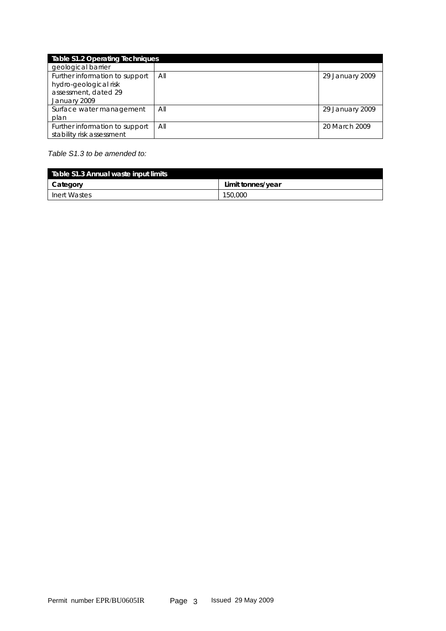|                                                             | <b>Table S1.2 Operating Techniques</b> |                 |  |  |  |
|-------------------------------------------------------------|----------------------------------------|-----------------|--|--|--|
| geological barrier                                          |                                        |                 |  |  |  |
| Further information to support<br>hydro-geological risk     | All                                    | 29 January 2009 |  |  |  |
| assessment, dated 29<br>January 2009                        |                                        |                 |  |  |  |
| Surface water management                                    | All                                    | 29 January 2009 |  |  |  |
| plan                                                        |                                        |                 |  |  |  |
| Further information to support<br>stability risk assessment | All                                    | 20 March 2009   |  |  |  |

#### *Table S1.3 to be amended to:*

| Table S1.3 Annual waste input limits |                   |  |  |
|--------------------------------------|-------------------|--|--|
| Category                             | Limit tonnes/year |  |  |
| Inert Wastes                         | 150,000           |  |  |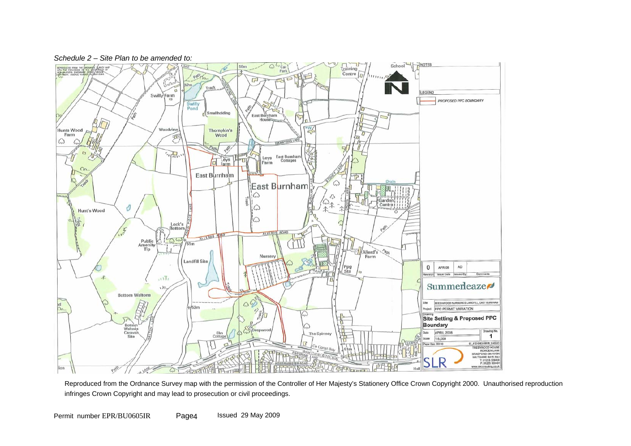



Reproduced from the Ordnance Survey map with the permission of the Controller of Her Majesty's Stationery Office Crown Copyright 2000. Unauthorised reproduction infringes Crown Copyright and may lead to prosecution or civil proceedings.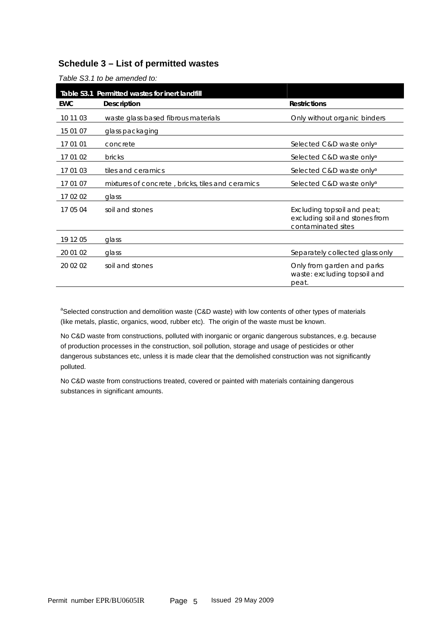#### **Schedule 3 – List of permitted wastes**

| Table S3.1 Permitted wastes for inert landfill |                                                  |                                                                                     |  |  |  |
|------------------------------------------------|--------------------------------------------------|-------------------------------------------------------------------------------------|--|--|--|
| <b>EWC</b>                                     | <b>Description</b>                               | <b>Restrictions</b>                                                                 |  |  |  |
| 10 11 03                                       | waste glass based fibrous materials              | Only without organic binders                                                        |  |  |  |
| 15 01 07                                       | glass packaging                                  |                                                                                     |  |  |  |
| 17 01 01                                       | concrete                                         | Selected C&D waste only <sup>a</sup>                                                |  |  |  |
| 17 01 02                                       | <b>bricks</b>                                    | Selected C&D waste only <sup>a</sup>                                                |  |  |  |
| 17 01 03                                       | tiles and ceramics                               | Selected C&D waste only <sup>a</sup>                                                |  |  |  |
| 17 01 07                                       | mixtures of concrete, bricks, tiles and ceramics | Selected C&D waste only <sup>a</sup>                                                |  |  |  |
| 17 02 02                                       | glass                                            |                                                                                     |  |  |  |
| 17 05 04                                       | soil and stones                                  | Excluding topsoil and peat;<br>excluding soil and stones from<br>contaminated sites |  |  |  |
| 19 12 05                                       | glass                                            |                                                                                     |  |  |  |
| 20 01 02                                       | glass                                            | Separately collected glass only                                                     |  |  |  |
| 20 02 02                                       | soil and stones                                  | Only from garden and parks<br>waste: excluding topsoil and<br>peat.                 |  |  |  |

*Table S3.1 to be amended to:* 

<sup>a</sup>Selected construction and demolition waste (C&D waste) with low contents of other types of materials (like metals, plastic, organics, wood, rubber etc). The origin of the waste must be known.

No C&D waste from constructions, polluted with inorganic or organic dangerous substances, e.g. because of production processes in the construction, soil pollution, storage and usage of pesticides or other dangerous substances etc, unless it is made clear that the demolished construction was not significantly polluted.

No C&D waste from constructions treated, covered or painted with materials containing dangerous substances in significant amounts.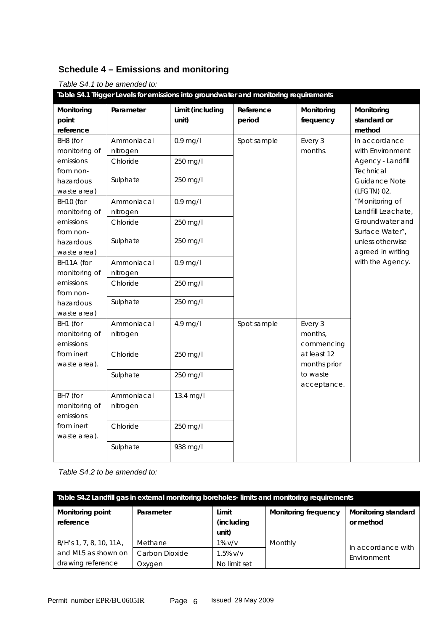### **Schedule 4 – Emissions and monitoring**

#### *Table S4.1 to be amended to:*

| Table S4.1 Trigger Levels for emissions into groundwater and monitoring requirements                                                                                                                             |                                    |                           |                     |                                                                                                                              |                                                                                                   |
|------------------------------------------------------------------------------------------------------------------------------------------------------------------------------------------------------------------|------------------------------------|---------------------------|---------------------|------------------------------------------------------------------------------------------------------------------------------|---------------------------------------------------------------------------------------------------|
| Monitoring<br>point                                                                                                                                                                                              | Parameter                          | Limit (including<br>unit) | Reference<br>period | Monitoring<br>frequency                                                                                                      | Monitoring<br>standard or                                                                         |
| reference                                                                                                                                                                                                        |                                    |                           |                     |                                                                                                                              | method                                                                                            |
| BH8 (for<br>Ammoniacal<br>$0.9$ mg/l<br>monitoring of<br>nitrogen<br>emissions<br>Chloride<br>250 mg/l<br>from non-<br>250 mg/l<br>Sulphate<br>hazardous<br>waste area)<br>BH10 (for<br>Ammoniacal<br>$0.9$ mg/l | Spot sample                        |                           | Every 3<br>months.  | In accordance<br>with Environment<br>Agency - Landfill<br>Technical<br><b>Guidance Note</b><br>(LFGTN) 02,<br>"Monitoring of |                                                                                                   |
| monitoring of<br>emissions<br>from non-<br>hazardous<br>waste area)                                                                                                                                              | nitrogen<br>Chloride<br>Sulphate   | 250 mg/l<br>250 mg/l      |                     |                                                                                                                              | Landfill Leachate,<br>Groundwater and<br>Surface Water",<br>unless otherwise<br>agreed in writing |
| BH11A (for<br>monitoring of<br>emissions<br>from non-                                                                                                                                                            | Ammoniacal<br>nitrogen<br>Chloride | $0.9$ mg/l<br>250 mg/l    |                     | with the Agency.                                                                                                             |                                                                                                   |
| hazardous<br>waste area)                                                                                                                                                                                         | Sulphate                           | 250 mg/l                  |                     |                                                                                                                              |                                                                                                   |
| BH1 (for<br>monitoring of<br>emissions                                                                                                                                                                           | Ammoniacal<br>nitrogen             | 4.9 mg/l                  | Spot sample         | Every 3<br>months,<br>commencing                                                                                             |                                                                                                   |
| from inert<br>waste area).                                                                                                                                                                                       | Chloride                           | 250 mg/l                  |                     | at least 12<br>months prior                                                                                                  |                                                                                                   |
|                                                                                                                                                                                                                  | Sulphate                           | 250 mg/l                  |                     | to waste<br>acceptance.                                                                                                      |                                                                                                   |
| BH7 (for<br>monitoring of<br>emissions                                                                                                                                                                           | Ammoniacal<br>nitrogen             | 13.4 mg/l                 |                     |                                                                                                                              |                                                                                                   |
| from inert<br>waste area).                                                                                                                                                                                       | Chloride                           | 250 mg/l                  |                     |                                                                                                                              |                                                                                                   |
|                                                                                                                                                                                                                  | Sulphate                           | 938 mg/l                  |                     |                                                                                                                              |                                                                                                   |

#### *Table S4.2 to be amended to:*

| Table S4.2 Landfill gas in external monitoring boreholes-limits and monitoring requirements |                |                     |                             |                                  |
|---------------------------------------------------------------------------------------------|----------------|---------------------|-----------------------------|----------------------------------|
| Monitoring point<br>reference                                                               | Parameter      | Limit<br>(including | <b>Monitoring frequency</b> | Monitoring standard<br>or method |
|                                                                                             |                | unit)               |                             |                                  |
| B/H's 1, 7, 8, 10, 11A,                                                                     | Methane        | $1\%$ v/v           | Monthly                     | In accordance with               |
| and ML5 as shown on                                                                         | Carbon Dioxide | $1.5\%$ v/v         |                             | Environment                      |
| drawing reference                                                                           | Oxygen         | No limit set        |                             |                                  |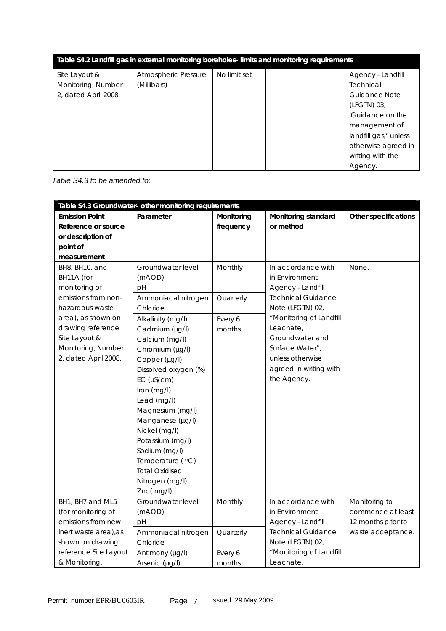| Table S4.2 Landfill gas in external monitoring boreholes-limits and monitoring requirements |                      |              |  |                       |
|---------------------------------------------------------------------------------------------|----------------------|--------------|--|-----------------------|
| Site Layout &                                                                               | Atmospheric Pressure | No limit set |  | Agency - Landfill     |
| Monitoring, Number                                                                          | (Millibars)          |              |  | Technical             |
| 2, dated April 2008.                                                                        |                      |              |  | Guidance Note         |
|                                                                                             |                      |              |  | (LFGTN) 03,           |
|                                                                                             |                      |              |  | 'Guidance on the      |
|                                                                                             |                      |              |  | management of         |
|                                                                                             |                      |              |  | landfill gas,' unless |
|                                                                                             |                      |              |  | otherwise agreed in   |
|                                                                                             |                      |              |  | writing with the      |
|                                                                                             |                      |              |  | Agency.               |

 *Table S4.3 to be amended to:* 

| Table S4.3 Groundwater- other monitoring requirements |                       |            |                           |                      |
|-------------------------------------------------------|-----------------------|------------|---------------------------|----------------------|
| <b>Emission Point</b>                                 | Parameter             | Monitoring | Monitoring standard       | Other specifications |
| Reference or source                                   |                       | frequency  | or method                 |                      |
| or description of                                     |                       |            |                           |                      |
| point of                                              |                       |            |                           |                      |
| measurement                                           |                       |            |                           |                      |
| BH8, BH10, and                                        | Groundwater level     | Monthly    | In accordance with        | None.                |
| BH11A (for                                            | (mAOD)                |            | in Environment            |                      |
| monitoring of                                         | рH                    |            | Agency - Landfill         |                      |
| emissions from non-                                   | Ammoniacal nitrogen   | Quarterly  | <b>Technical Guidance</b> |                      |
| hazardous waste                                       | Chloride              |            | Note (LFGTN) 02,          |                      |
| area), as shown on                                    | Alkalinity (mg/l)     | Every 6    | "Monitoring of Landfill   |                      |
| drawing reference                                     | Cadmium (µg/l)        | months     | Leachate,                 |                      |
| Site Layout &                                         | Calcium (mg/l)        |            | Groundwater and           |                      |
| Monitoring, Number                                    | Chromium (µg/l)       |            | Surface Water",           |                      |
| 2, dated April 2008.                                  | Copper (µg/l)         |            | unless otherwise          |                      |
|                                                       | Dissolved oxygen (%)  |            | agreed in writing with    |                      |
|                                                       | EC (µS/cm)            |            | the Agency.               |                      |
|                                                       | Iron (mg/l)           |            |                           |                      |
|                                                       | Lead (mg/l)           |            |                           |                      |
|                                                       | Magnesium (mg/l)      |            |                           |                      |
|                                                       | Manganese (µg/l)      |            |                           |                      |
|                                                       | Nickel (mg/l)         |            |                           |                      |
|                                                       | Potassium (mg/l)      |            |                           |                      |
|                                                       | Sodium (mg/l)         |            |                           |                      |
|                                                       | Temperature (°C)      |            |                           |                      |
|                                                       | <b>Total Oxidised</b> |            |                           |                      |
|                                                       | Nitrogen (mg/l)       |            |                           |                      |
|                                                       | Zinc(mg/l)            |            |                           |                      |
| BH1, BH7 and ML5                                      | Groundwater level     | Monthly    | In accordance with        | Monitoring to        |
| (for monitoring of                                    | (mAOD)                |            | in Environment            | commence at least    |
| emissions from new                                    | pH                    |            | Agency - Landfill         | 12 months prior to   |
| inert waste area), as                                 | Ammoniacal nitrogen   | Quarterly  | <b>Technical Guidance</b> | waste acceptance.    |
| shown on drawing                                      | Chloride              |            | Note (LFGTN) 02,          |                      |
| reference Site Layout                                 | Antimony (µg/l)       | Every 6    | "Monitoring of Landfill   |                      |
| & Monitoring,                                         | Arsenic (µg/l)        | months     | Leachate,                 |                      |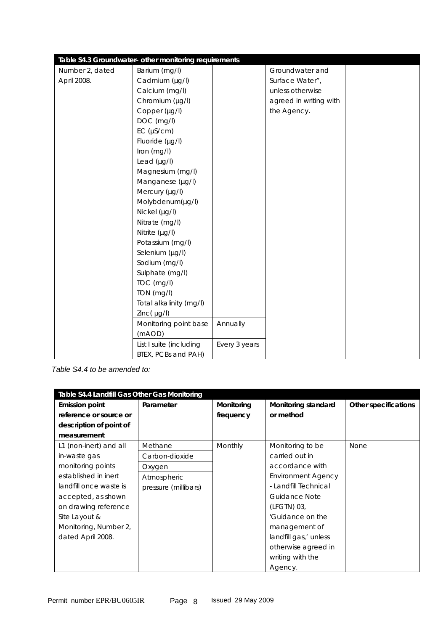|                 | Table S4.3 Groundwater- other monitoring requirements |               |                        |  |
|-----------------|-------------------------------------------------------|---------------|------------------------|--|
| Number 2, dated | Barium (mg/l)                                         |               | Groundwater and        |  |
| April 2008.     | Cadmium (µg/l)                                        |               | Surface Water",        |  |
|                 | Calcium (mg/l)                                        |               | unless otherwise       |  |
|                 | Chromium (µg/l)                                       |               | agreed in writing with |  |
|                 | Copper (µg/l)                                         |               | the Agency.            |  |
|                 | DOC (mg/l)                                            |               |                        |  |
|                 | EC (µS/cm)                                            |               |                        |  |
|                 | Fluoride (µg/l)                                       |               |                        |  |
|                 | Iron (mg/l)                                           |               |                        |  |
|                 | Lead $(\mu g/l)$                                      |               |                        |  |
|                 | Magnesium (mg/l)                                      |               |                        |  |
|                 | Manganese (µg/l)                                      |               |                        |  |
|                 | Mercury (µg/l)                                        |               |                        |  |
|                 | Molybdenum(µg/l)                                      |               |                        |  |
|                 | Nickel (µg/l)                                         |               |                        |  |
|                 | Nitrate (mg/l)                                        |               |                        |  |
|                 | Nitrite $(\mu g/l)$                                   |               |                        |  |
|                 | Potassium (mg/l)                                      |               |                        |  |
|                 | Selenium (µg/l)                                       |               |                        |  |
|                 | Sodium (mg/l)                                         |               |                        |  |
|                 | Sulphate (mg/l)                                       |               |                        |  |
|                 | TOC (mg/l)                                            |               |                        |  |
|                 | TON (mg/l)                                            |               |                        |  |
|                 | Total alkalinity (mg/l)                               |               |                        |  |
|                 | $Zinc(\mu g/l)$                                       |               |                        |  |
|                 | Monitoring point base                                 | Annually      |                        |  |
|                 | (mAOD)                                                |               |                        |  |
|                 | List I suite (including                               | Every 3 years |                        |  |
|                 | BTEX, PCBs and PAH)                                   |               |                        |  |

*Table S4.4 to be amended to:* 

| Table S4.4 Landfill Gas Other Gas Monitoring |                      |            |                           |                      |  |
|----------------------------------------------|----------------------|------------|---------------------------|----------------------|--|
| <b>Emission point</b>                        | Parameter            | Monitoring | Monitoring standard       | Other specifications |  |
| reference or source or                       |                      | frequency  | or method                 |                      |  |
| description of point of                      |                      |            |                           |                      |  |
| measurement                                  |                      |            |                           |                      |  |
| L1 (non-inert) and all                       | Methane              | Monthly    | Monitoring to be          | None                 |  |
| in-waste gas                                 | Carbon-dioxide       |            | carried out in            |                      |  |
| monitoring points                            | Oxygen               |            | accordance with           |                      |  |
| established in inert                         | Atmospheric          |            | <b>Environment Agency</b> |                      |  |
| landfill once waste is                       | pressure (millibars) |            | - Landfill Technical      |                      |  |
| accepted, as shown                           |                      |            | Guidance Note             |                      |  |
| on drawing reference                         |                      |            | (LFGTN) 03,               |                      |  |
| Site Layout &                                |                      |            | 'Guidance on the          |                      |  |
| Monitoring, Number 2,                        |                      |            | management of             |                      |  |
| dated April 2008.                            |                      |            | landfill gas,' unless     |                      |  |
|                                              |                      |            | otherwise agreed in       |                      |  |
|                                              |                      |            | writing with the          |                      |  |
|                                              |                      |            | Agency.                   |                      |  |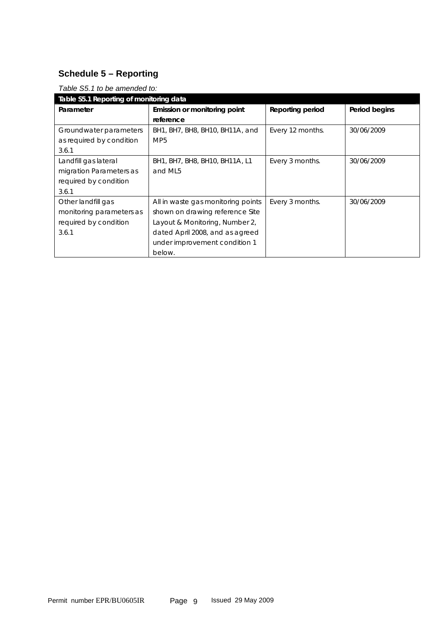### **Schedule 5 – Reporting**

| rapie oo. Lto be amended to.            |                                    |                  |               |  |
|-----------------------------------------|------------------------------------|------------------|---------------|--|
| Table S5.1 Reporting of monitoring data |                                    |                  |               |  |
| Parameter                               | Emission or monitoring point       | Reporting period | Period begins |  |
|                                         | reference                          |                  |               |  |
| Groundwater parameters                  | BH1, BH7, BH8, BH10, BH11A, and    | Every 12 months. | 30/06/2009    |  |
| as required by condition                | MP <sub>5</sub>                    |                  |               |  |
| 3.6.1                                   |                                    |                  |               |  |
| Landfill gas lateral                    | BH1, BH7, BH8, BH10, BH11A, L1     | Every 3 months.  | 30/06/2009    |  |
| migration Parameters as                 | and ML5                            |                  |               |  |
| required by condition                   |                                    |                  |               |  |
| 3.6.1                                   |                                    |                  |               |  |
| Other landfill gas                      | All in waste gas monitoring points | Every 3 months.  | 30/06/2009    |  |
| monitoring parameters as                | shown on drawing reference Site    |                  |               |  |
| required by condition                   | Layout & Monitoring, Number 2,     |                  |               |  |
| 3.6.1                                   | dated April 2008, and as agreed    |                  |               |  |
|                                         | under improvement condition 1      |                  |               |  |
|                                         | below.                             |                  |               |  |

#### *Table S5.1 to be amended to:*